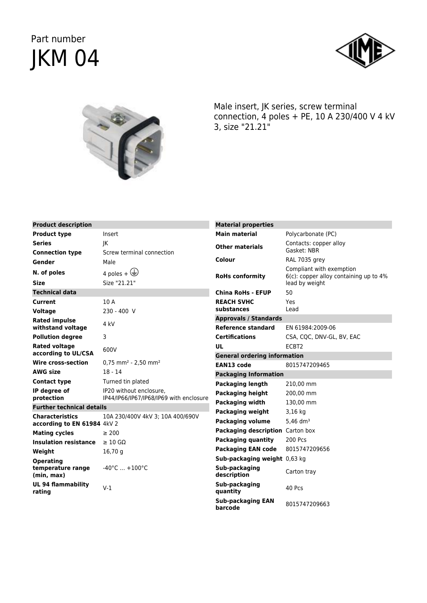## Part number JKM 04





Male insert, JK series, screw terminal connection, 4 poles + PE, 10 A 230/400 V 4 kV 3, size "21.21"

| <b>Product description</b>       |                                                                    | <b>Material properties</b>          |                                                                    |
|----------------------------------|--------------------------------------------------------------------|-------------------------------------|--------------------------------------------------------------------|
| <b>Product type</b>              | Insert                                                             | <b>Main material</b>                | Polycarbonate (PC)                                                 |
| Series                           | IK                                                                 | <b>Other materials</b>              | Contacts: copper alloy<br>Gasket: NBR                              |
| <b>Connection type</b>           | Screw terminal connection                                          |                                     |                                                                    |
| Gender                           | Male                                                               | Colour                              | RAL 7035 grey                                                      |
| N. of poles                      | 4 poles + $\bigoplus$                                              | <b>RoHs conformity</b>              | Compliant with exemption<br>6(c): copper alloy containing up to 4% |
| Size                             | Size "21.21"                                                       |                                     | lead by weight                                                     |
| <b>Technical data</b>            |                                                                    | <b>China RoHs - EFUP</b>            | 50                                                                 |
| Current                          | 10 A                                                               | <b>REACH SVHC</b>                   | Yes                                                                |
| Voltage                          | 230 - 400 V                                                        | substances                          | Lead                                                               |
| <b>Rated impulse</b>             | 4 kV                                                               | <b>Approvals / Standards</b>        |                                                                    |
| withstand voltage                |                                                                    | <b>Reference standard</b>           | EN 61984:2009-06                                                   |
| <b>Pollution degree</b>          | 3                                                                  | <b>Certifications</b>               | CSA, CQC, DNV-GL, BV, EAC                                          |
| <b>Rated voltage</b>             | 600V                                                               | UL                                  | ECBT2                                                              |
| according to UL/CSA              |                                                                    | <b>General ordering information</b> |                                                                    |
| Wire cross-section               | $0.75$ mm <sup>2</sup> - 2,50 mm <sup>2</sup>                      | EAN13 code                          | 8015747209465                                                      |
| AWG size                         | $18 - 14$                                                          | <b>Packaging Information</b>        |                                                                    |
| Contact type                     | Turned tin plated                                                  | <b>Packaging length</b>             | 210,00 mm                                                          |
| IP degree of<br>protection       | IP20 without enclosure.<br>IP44/IP66/IP67/IP68/IP69 with enclosure | <b>Packaging height</b>             | 200,00 mm                                                          |
| <b>Further technical details</b> |                                                                    | Packaging width                     | 130.00 mm                                                          |
| <b>Characteristics</b>           | 10A 230/400V 4kV 3; 10A 400/690V                                   | <b>Packaging weight</b>             | $3,16$ kg                                                          |
| according to EN 61984 4kV 2      |                                                                    | <b>Packaging volume</b>             | 5.46 $dm^{3}$                                                      |
| <b>Mating cycles</b>             | $\geq 200$                                                         | Packaging description Carton box    |                                                                    |
| <b>Insulation resistance</b>     | $\geq 10$ GΩ                                                       | <b>Packaging quantity</b>           | 200 Pcs                                                            |
| Weight                           | 16,70g                                                             | <b>Packaging EAN code</b>           | 8015747209656                                                      |
| Operating                        |                                                                    | Sub-packaging weight 0,63 kg        |                                                                    |
| temperature range<br>(min, max)  | $-40^{\circ}$ C $ +100^{\circ}$ C                                  | Sub-packaging<br>description        | Carton tray                                                        |
| UL 94 flammability<br>rating     | $V-1$                                                              | Sub-packaging<br>quantity           | 40 Pcs                                                             |
|                                  |                                                                    | <b>Sub-packaging EAN</b><br>barcode | 8015747209663                                                      |